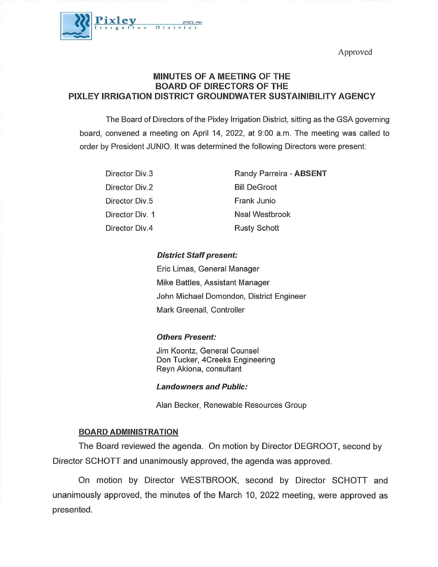Approved



# MINUTES OF A MEETING OF THE BOARD OF DIRECTORS OF THE PIXLEY IRRIGATION DISTRICT GROUNDWATER SUSTAINIBILITY AGENCY

The Board of Directors of the Pixley irrigation District, sitting as the GSA governing board, convened a meeting on April 14, 2022, at 9:00 a.m. The meeting was called to order by President JUNIO. It was determined the following Directors were present:

| Director Div.3  | Randy Parreira - ABSENT |
|-----------------|-------------------------|
| Director Div.2  | <b>Bill DeGroot</b>     |
| Director Div.5  | Frank Junio             |
| Director Div. 1 | <b>Neal Westbrook</b>   |
| Director Div.4  | <b>Rusty Schott</b>     |

# District Staff present:

Eric Limas, General Manager Mike Battles, Assistant Manager John Michael Domondon, District Engineer Mark Greenall, Controller

# Others Present:

Jim Koontz, General Counsel Don Tucker, 4Creeks Engineering Reyn Akiona, consultant

#### Landowners and Public:

Alan Becker, Renewable Resources Group

# BOARD ADMINISTRATION

The Board reviewed the agenda. On motion by Director DEGROOT, second by Director SCHOTT and unanimously approved, the agenda was approved.

On motion by Director WESTBROOK, second by Director SCHOTT and unanimously approved, the minutes of the March 10, 2022 meeting, were approved as presented.